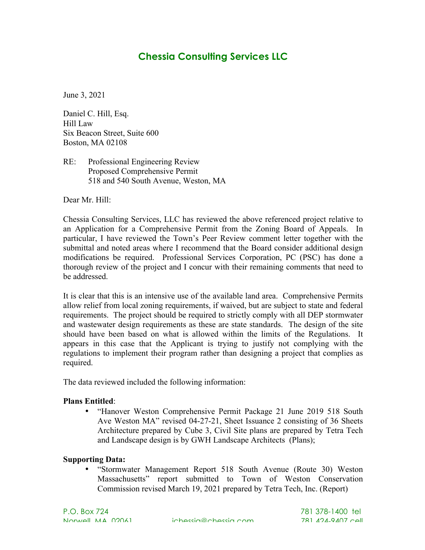# **Chessia Consulting Services LLC**

June 3, 2021

Daniel C. Hill, Esq. Hill Law Six Beacon Street, Suite 600 Boston, MA 02108

RE: Professional Engineering Review Proposed Comprehensive Permit 518 and 540 South Avenue, Weston, MA

Dear Mr. Hill<sup>.</sup>

Chessia Consulting Services, LLC has reviewed the above referenced project relative to an Application for a Comprehensive Permit from the Zoning Board of Appeals. In particular, I have reviewed the Town's Peer Review comment letter together with the submittal and noted areas where I recommend that the Board consider additional design modifications be required. Professional Services Corporation, PC (PSC) has done a thorough review of the project and I concur with their remaining comments that need to be addressed.

It is clear that this is an intensive use of the available land area. Comprehensive Permits allow relief from local zoning requirements, if waived, but are subject to state and federal requirements. The project should be required to strictly comply with all DEP stormwater and wastewater design requirements as these are state standards. The design of the site should have been based on what is allowed within the limits of the Regulations. It appears in this case that the Applicant is trying to justify not complying with the regulations to implement their program rather than designing a project that complies as required.

The data reviewed included the following information:

## **Plans Entitled**:

• "Hanover Weston Comprehensive Permit Package 21 June 2019 518 South Ave Weston MA" revised 04-27-21, Sheet Issuance 2 consisting of 36 Sheets Architecture prepared by Cube 3, Civil Site plans are prepared by Tetra Tech and Landscape design is by GWH Landscape Architects (Plans);

#### **Supporting Data:**

• "Stormwater Management Report 518 South Avenue (Route 30) Weston Massachusetts" report submitted to Town of Weston Conservation Commission revised March 19, 2021 prepared by Tetra Tech, Inc. (Report)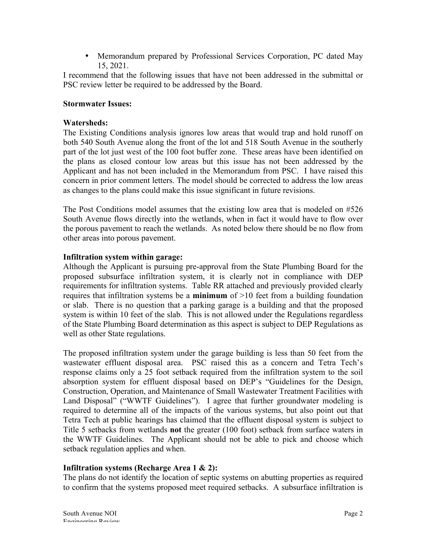• Memorandum prepared by Professional Services Corporation, PC dated May 15, 2021.

I recommend that the following issues that have not been addressed in the submittal or PSC review letter be required to be addressed by the Board.

## **Stormwater Issues:**

#### **Watersheds:**

The Existing Conditions analysis ignores low areas that would trap and hold runoff on both 540 South Avenue along the front of the lot and 518 South Avenue in the southerly part of the lot just west of the 100 foot buffer zone. These areas have been identified on the plans as closed contour low areas but this issue has not been addressed by the Applicant and has not been included in the Memorandum from PSC. I have raised this concern in prior comment letters. The model should be corrected to address the low areas as changes to the plans could make this issue significant in future revisions.

The Post Conditions model assumes that the existing low area that is modeled on #526 South Avenue flows directly into the wetlands, when in fact it would have to flow over the porous pavement to reach the wetlands. As noted below there should be no flow from other areas into porous pavement.

#### **Infiltration system within garage:**

Although the Applicant is pursuing pre-approval from the State Plumbing Board for the proposed subsurface infiltration system, it is clearly not in compliance with DEP requirements for infiltration systems. Table RR attached and previously provided clearly requires that infiltration systems be a **minimum** of >10 feet from a building foundation or slab. There is no question that a parking garage is a building and that the proposed system is within 10 feet of the slab. This is not allowed under the Regulations regardless of the State Plumbing Board determination as this aspect is subject to DEP Regulations as well as other State regulations.

The proposed infiltration system under the garage building is less than 50 feet from the wastewater effluent disposal area. PSC raised this as a concern and Tetra Tech's response claims only a 25 foot setback required from the infiltration system to the soil absorption system for effluent disposal based on DEP's "Guidelines for the Design, Construction, Operation, and Maintenance of Small Wastewater Treatment Facilities with Land Disposal" ("WWTF Guidelines"). I agree that further groundwater modeling is required to determine all of the impacts of the various systems, but also point out that Tetra Tech at public hearings has claimed that the effluent disposal system is subject to Title 5 setbacks from wetlands **not** the greater (100 foot) setback from surface waters in the WWTF Guidelines. The Applicant should not be able to pick and choose which setback regulation applies and when.

## **Infiltration systems (Recharge Area 1 & 2):**

The plans do not identify the location of septic systems on abutting properties as required to confirm that the systems proposed meet required setbacks. A subsurface infiltration is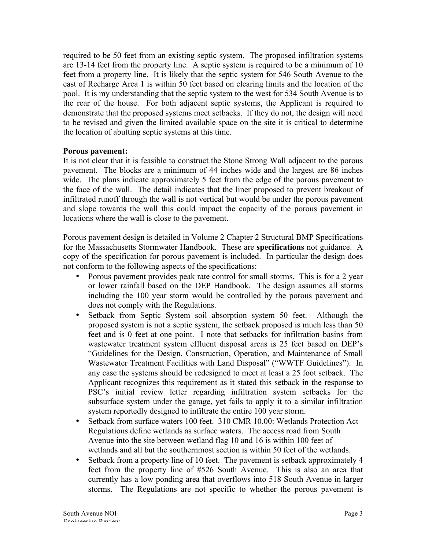required to be 50 feet from an existing septic system. The proposed infiltration systems are 13-14 feet from the property line. A septic system is required to be a minimum of 10 feet from a property line. It is likely that the septic system for 546 South Avenue to the east of Recharge Area 1 is within 50 feet based on clearing limits and the location of the pool. It is my understanding that the septic system to the west for 534 South Avenue is to the rear of the house. For both adjacent septic systems, the Applicant is required to demonstrate that the proposed systems meet setbacks. If they do not, the design will need to be revised and given the limited available space on the site it is critical to determine the location of abutting septic systems at this time.

## **Porous pavement:**

It is not clear that it is feasible to construct the Stone Strong Wall adjacent to the porous pavement. The blocks are a minimum of 44 inches wide and the largest are 86 inches wide. The plans indicate approximately 5 feet from the edge of the porous pavement to the face of the wall. The detail indicates that the liner proposed to prevent breakout of infiltrated runoff through the wall is not vertical but would be under the porous pavement and slope towards the wall this could impact the capacity of the porous pavement in locations where the wall is close to the pavement.

Porous pavement design is detailed in Volume 2 Chapter 2 Structural BMP Specifications for the Massachusetts Stormwater Handbook. These are **specifications** not guidance. A copy of the specification for porous pavement is included. In particular the design does not conform to the following aspects of the specifications:

- Porous pavement provides peak rate control for small storms. This is for a 2 year or lower rainfall based on the DEP Handbook. The design assumes all storms including the 100 year storm would be controlled by the porous pavement and does not comply with the Regulations.
- Setback from Septic System soil absorption system 50 feet. Although the proposed system is not a septic system, the setback proposed is much less than 50 feet and is 0 feet at one point. I note that setbacks for infiltration basins from wastewater treatment system effluent disposal areas is 25 feet based on DEP's "Guidelines for the Design, Construction, Operation, and Maintenance of Small Wastewater Treatment Facilities with Land Disposal" ("WWTF Guidelines"). In any case the systems should be redesigned to meet at least a 25 foot setback. The Applicant recognizes this requirement as it stated this setback in the response to PSC's initial review letter regarding infiltration system setbacks for the subsurface system under the garage, yet fails to apply it to a similar infiltration system reportedly designed to infiltrate the entire 100 year storm.
- Setback from surface waters 100 feet. 310 CMR 10.00: Wetlands Protection Act Regulations define wetlands as surface waters. The access road from South Avenue into the site between wetland flag 10 and 16 is within 100 feet of wetlands and all but the southernmost section is within 50 feet of the wetlands.
- Setback from a property line of 10 feet. The pavement is setback approximately 4 feet from the property line of #526 South Avenue. This is also an area that currently has a low ponding area that overflows into 518 South Avenue in larger storms. The Regulations are not specific to whether the porous pavement is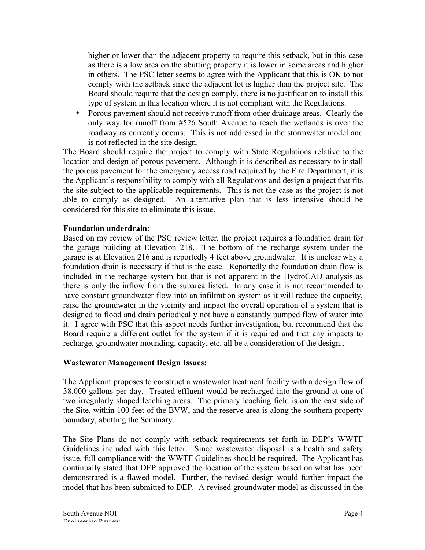higher or lower than the adjacent property to require this setback, but in this case as there is a low area on the abutting property it is lower in some areas and higher in others. The PSC letter seems to agree with the Applicant that this is OK to not comply with the setback since the adjacent lot is higher than the project site. The Board should require that the design comply, there is no justification to install this type of system in this location where it is not compliant with the Regulations.

• Porous pavement should not receive runoff from other drainage areas. Clearly the only way for runoff from #526 South Avenue to reach the wetlands is over the roadway as currently occurs. This is not addressed in the stormwater model and is not reflected in the site design.

The Board should require the project to comply with State Regulations relative to the location and design of porous pavement. Although it is described as necessary to install the porous pavement for the emergency access road required by the Fire Department, it is the Applicant's responsibility to comply with all Regulations and design a project that fits the site subject to the applicable requirements. This is not the case as the project is not able to comply as designed. An alternative plan that is less intensive should be considered for this site to eliminate this issue.

## **Foundation underdrain:**

Based on my review of the PSC review letter, the project requires a foundation drain for the garage building at Elevation 218. The bottom of the recharge system under the garage is at Elevation 216 and is reportedly 4 feet above groundwater. It is unclear why a foundation drain is necessary if that is the case. Reportedly the foundation drain flow is included in the recharge system but that is not apparent in the HydroCAD analysis as there is only the inflow from the subarea listed. In any case it is not recommended to have constant groundwater flow into an infiltration system as it will reduce the capacity, raise the groundwater in the vicinity and impact the overall operation of a system that is designed to flood and drain periodically not have a constantly pumped flow of water into it. I agree with PSC that this aspect needs further investigation, but recommend that the Board require a different outlet for the system if it is required and that any impacts to recharge, groundwater mounding, capacity, etc. all be a consideration of the design.,

#### **Wastewater Management Design Issues:**

The Applicant proposes to construct a wastewater treatment facility with a design flow of 38,000 gallons per day. Treated effluent would be recharged into the ground at one of two irregularly shaped leaching areas. The primary leaching field is on the east side of the Site, within 100 feet of the BVW, and the reserve area is along the southern property boundary, abutting the Seminary.

The Site Plans do not comply with setback requirements set forth in DEP's WWTF Guidelines included with this letter. Since wastewater disposal is a health and safety issue, full compliance with the WWTF Guidelines should be required. The Applicant has continually stated that DEP approved the location of the system based on what has been demonstrated is a flawed model. Further, the revised design would further impact the model that has been submitted to DEP. A revised groundwater model as discussed in the